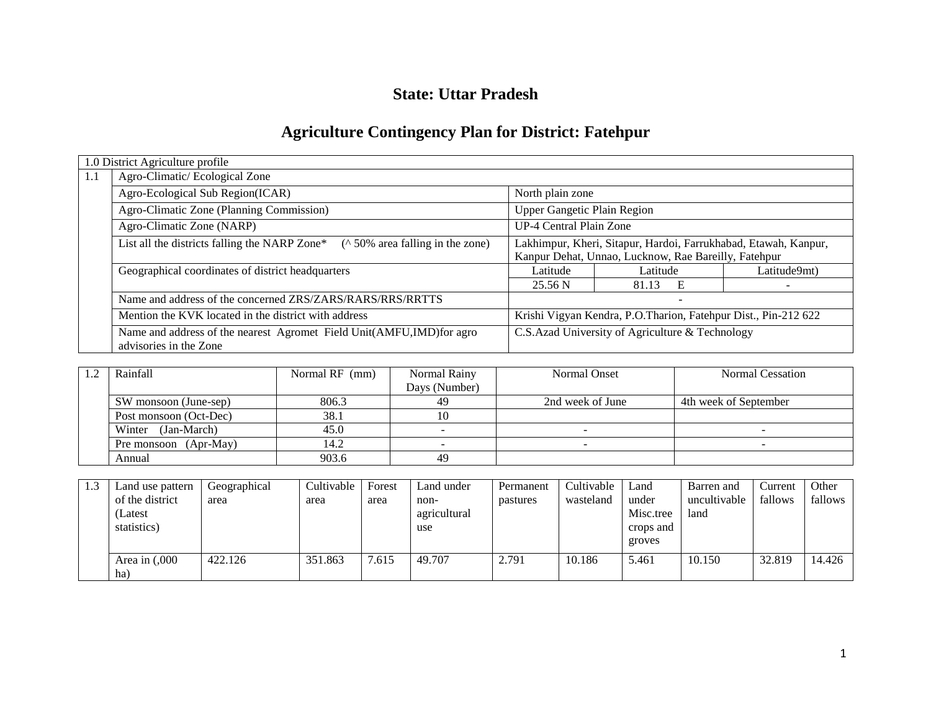## **State: Uttar Pradesh**

# **Agriculture Contingency Plan for District: Fatehpur**

|     | 1.0 District Agriculture profile                                                               |                                                                 |                                                 |              |  |  |  |  |
|-----|------------------------------------------------------------------------------------------------|-----------------------------------------------------------------|-------------------------------------------------|--------------|--|--|--|--|
| 1.1 | Agro-Climatic/Ecological Zone                                                                  |                                                                 |                                                 |              |  |  |  |  |
|     | Agro-Ecological Sub Region(ICAR)                                                               | North plain zone                                                |                                                 |              |  |  |  |  |
|     | Agro-Climatic Zone (Planning Commission)                                                       | <b>Upper Gangetic Plain Region</b>                              |                                                 |              |  |  |  |  |
|     | Agro-Climatic Zone (NARP)                                                                      | <b>UP-4 Central Plain Zone</b>                                  |                                                 |              |  |  |  |  |
|     | List all the districts falling the NARP Zone*<br>$($ \landom 50% area falling in the zone)     | Lakhimpur, Kheri, Sitapur, Hardoi, Farrukhabad, Etawah, Kanpur, |                                                 |              |  |  |  |  |
|     |                                                                                                | Kanpur Dehat, Unnao, Lucknow, Rae Bareilly, Fatehpur            |                                                 |              |  |  |  |  |
|     | Geographical coordinates of district headquarters                                              | Latitude                                                        | Latitude                                        | Latitude9mt) |  |  |  |  |
|     |                                                                                                | 25.56 N                                                         | 81.13<br>- E                                    |              |  |  |  |  |
|     | Name and address of the concerned ZRS/ZARS/RARS/RRS/RRTTS                                      | $\overline{\phantom{0}}$                                        |                                                 |              |  |  |  |  |
|     | Mention the KVK located in the district with address                                           | Krishi Vigyan Kendra, P.O.Tharion, Fatehpur Dist., Pin-212 622  |                                                 |              |  |  |  |  |
|     | Name and address of the nearest Agromet Field Unit(AMFU,IMD)for agro<br>advisories in the Zone |                                                                 | C.S.Azad University of Agriculture & Technology |              |  |  |  |  |

| Rainfall               | Normal RF (mm) | Normal Rainy  | Normal Onset     | Normal Cessation      |
|------------------------|----------------|---------------|------------------|-----------------------|
|                        |                | Days (Number) |                  |                       |
| SW monsoon (June-sep)  | 806.3          | 49            | 2nd week of June | 4th week of September |
| Post monsoon (Oct-Dec) | 38.1           |               |                  |                       |
| Winter (Jan-March)     | 45.0           |               |                  |                       |
| Pre monsoon (Apr-May)  | 14.2           |               |                  |                       |
| Annual                 | 903.6          | 49            |                  |                       |

| 1.3 | Land use pattern                          | Geographical | Cultivable | Forest | Land under                  | Permanent | Cultivable | Land                                      | Barren and           | Current | Other   |
|-----|-------------------------------------------|--------------|------------|--------|-----------------------------|-----------|------------|-------------------------------------------|----------------------|---------|---------|
|     | of the district<br>(Latest<br>statistics) | area         | area       | area   | non-<br>agricultural<br>use | pastures  | wasteland  | under<br>Misc.tree<br>crops and<br>groves | uncultivable<br>land | fallows | fallows |
|     | Area in $(0.000)$<br>ha)                  | 422.126      | 351.863    | 7.615  | 49.707                      | 2.791     | 10.186     | 5.461                                     | 10.150               | 32.819  | 14.426  |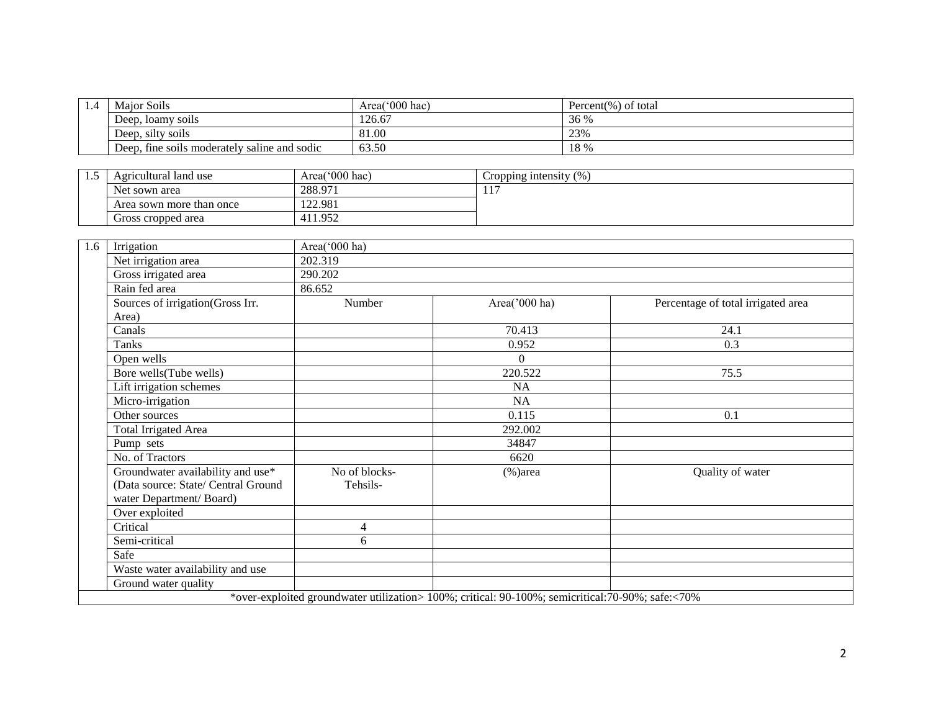| 1.4 | Major Soils                                                                                      |                | Area('000 hac) |  | Percent(%) of total    |      |                                    |  |  |
|-----|--------------------------------------------------------------------------------------------------|----------------|----------------|--|------------------------|------|------------------------------------|--|--|
|     | Deep, loamy soils                                                                                |                | 126.67         |  |                        | 36 % |                                    |  |  |
|     | Deep, silty soils                                                                                |                | 81.00          |  |                        | 23%  |                                    |  |  |
|     | Deep, fine soils moderately saline and sodic                                                     |                | 63.50          |  | 18 %                   |      |                                    |  |  |
|     |                                                                                                  |                |                |  |                        |      |                                    |  |  |
| 1.5 | Agricultural land use                                                                            | Area('000 hac) |                |  | Cropping intensity (%) |      |                                    |  |  |
|     | Net sown area                                                                                    | 288.971        |                |  | 117                    |      |                                    |  |  |
|     | Area sown more than once                                                                         | 122.981        |                |  |                        |      |                                    |  |  |
|     | Gross cropped area                                                                               | 411.952        |                |  |                        |      |                                    |  |  |
|     |                                                                                                  |                |                |  |                        |      |                                    |  |  |
| 1.6 | Irrigation                                                                                       | Area('000 ha)  |                |  |                        |      |                                    |  |  |
|     | Net irrigation area                                                                              | 202.319        |                |  |                        |      |                                    |  |  |
|     | Gross irrigated area                                                                             | 290.202        |                |  |                        |      |                                    |  |  |
|     | Rain fed area                                                                                    | 86.652         |                |  |                        |      |                                    |  |  |
|     | Sources of irrigation(Gross Irr.                                                                 |                | Number         |  | Area('000 ha)          |      | Percentage of total irrigated area |  |  |
|     | Area)                                                                                            |                |                |  |                        |      |                                    |  |  |
|     | Canals                                                                                           |                |                |  | 70.413                 |      | 24.1                               |  |  |
|     | <b>Tanks</b>                                                                                     |                |                |  | 0.952                  |      | 0.3                                |  |  |
|     | Open wells                                                                                       |                |                |  | $\overline{0}$         |      |                                    |  |  |
|     | Bore wells(Tube wells)                                                                           |                |                |  | 220.522                |      | 75.5                               |  |  |
|     | Lift irrigation schemes                                                                          |                |                |  | NA                     |      |                                    |  |  |
|     | Micro-irrigation                                                                                 |                |                |  | $\overline{NA}$        |      |                                    |  |  |
|     | Other sources                                                                                    |                |                |  | 0.115                  |      | 0.1                                |  |  |
|     | <b>Total Irrigated Area</b>                                                                      |                |                |  | 292.002                |      |                                    |  |  |
|     | Pump sets                                                                                        |                |                |  | 34847                  |      |                                    |  |  |
|     | No. of Tractors                                                                                  |                |                |  | 6620                   |      |                                    |  |  |
|     | Groundwater availability and use*                                                                |                | No of blocks-  |  | (%)area                |      | Quality of water                   |  |  |
|     | (Data source: State/ Central Ground                                                              |                | Tehsils-       |  |                        |      |                                    |  |  |
|     | water Department/Board)                                                                          |                |                |  |                        |      |                                    |  |  |
|     | Over exploited                                                                                   |                |                |  |                        |      |                                    |  |  |
|     | Critical                                                                                         |                | 4              |  |                        |      |                                    |  |  |
|     | Semi-critical                                                                                    |                | 6              |  |                        |      |                                    |  |  |
|     | Safe                                                                                             |                |                |  |                        |      |                                    |  |  |
|     | Waste water availability and use                                                                 |                |                |  |                        |      |                                    |  |  |
|     | Ground water quality                                                                             |                |                |  |                        |      |                                    |  |  |
|     | *over-exploited groundwater utilization> 100%; critical: 90-100%; semicritical:70-90%; safe:<70% |                |                |  |                        |      |                                    |  |  |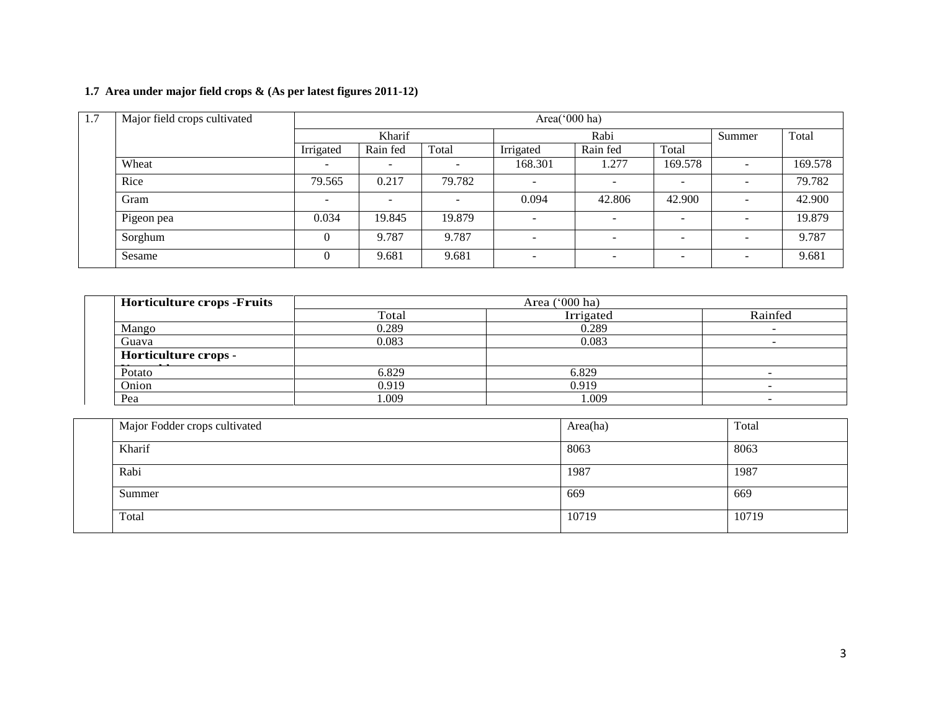## **1.7 Area under major field crops & (As per latest figures 2011-12)**

| 1.7 | Major field crops cultivated | Area('000 ha) |                          |                          |                          |                          |         |                          |         |
|-----|------------------------------|---------------|--------------------------|--------------------------|--------------------------|--------------------------|---------|--------------------------|---------|
|     |                              |               | Kharif                   |                          |                          | Rabi                     |         |                          | Total   |
|     |                              | Irrigated     | Rain fed                 | Total                    | Irrigated                | Rain fed                 | Total   |                          |         |
|     | Wheat                        |               | $\overline{\phantom{0}}$ | $\overline{\phantom{a}}$ | 168.301                  | 1.277                    | 169.578 | $\overline{\phantom{a}}$ | 169.578 |
|     | Rice                         | 79.565        | 0.217                    | 79.782                   | $\overline{\phantom{a}}$ | $\overline{\phantom{0}}$ |         |                          | 79.782  |
|     | Gram                         | -             | $\overline{\phantom{0}}$ | $\overline{\phantom{a}}$ | 0.094                    | 42.806                   | 42.900  | $\overline{\phantom{0}}$ | 42.900  |
|     | Pigeon pea                   | 0.034         | 19.845                   | 19.879                   | $\overline{\phantom{a}}$ | $\overline{\phantom{a}}$ | -       |                          | 19.879  |
|     | Sorghum                      |               | 9.787                    | 9.787                    | $\sim$                   | -                        |         |                          | 9.787   |
|     | Sesame                       | $\theta$      | 9.681                    | 9.681                    | $\overline{\phantom{a}}$ | $\overline{\phantom{0}}$ | -       | $\overline{\phantom{a}}$ | 9.681   |

| <b>Horticulture crops -Fruits</b> | Area $('000 ha)$ |           |                          |  |  |  |  |
|-----------------------------------|------------------|-----------|--------------------------|--|--|--|--|
|                                   | Total            | Irrigated | Rainfed                  |  |  |  |  |
| Mango                             | 0.289            | 0.289     | $\overline{\phantom{0}}$ |  |  |  |  |
| Guava                             | 0.083            | 0.083     |                          |  |  |  |  |
| Horticulture crops -              |                  |           |                          |  |  |  |  |
| Potato                            | 6.829            | 6.829     |                          |  |  |  |  |
| Onion                             | 0.919            | 0.919     |                          |  |  |  |  |
| Pea                               | .009             | l.009     | -                        |  |  |  |  |

| Major Fodder crops cultivated | Area(ha) | Total |
|-------------------------------|----------|-------|
| Kharif                        | 8063     | 8063  |
| Rabi                          | 1987     | 1987  |
| Summer                        | 669      | 669   |
| Total                         | 10719    | 10719 |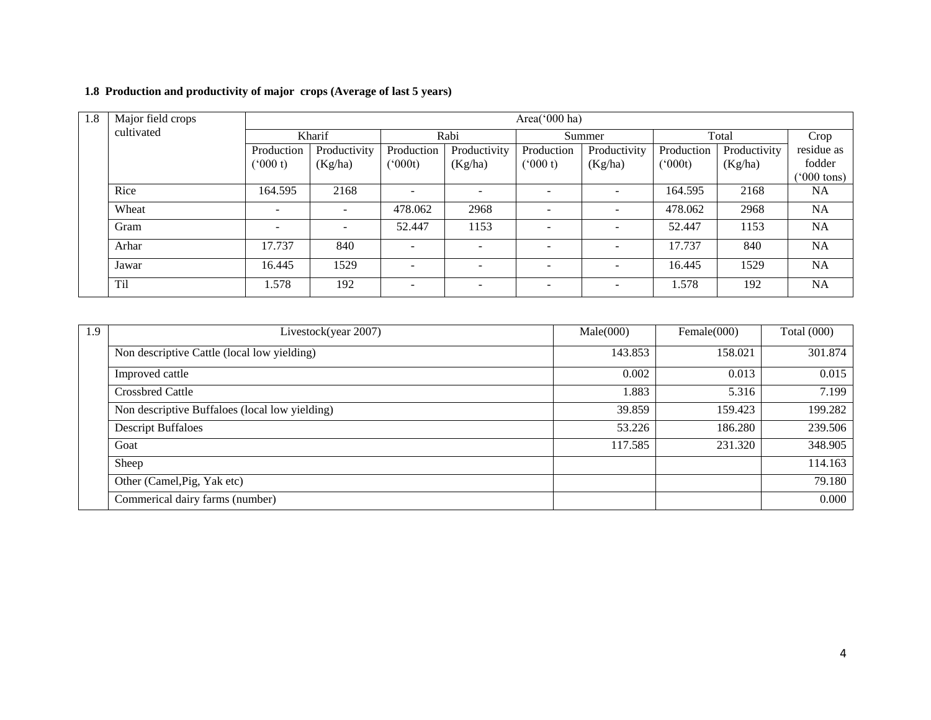## **1.8 Production and productivity of major crops (Average of last 5 years)**

| 1.8 | Major field crops | Area('000 ha)            |              |                          |              |                          |                          |              |              |                      |  |  |
|-----|-------------------|--------------------------|--------------|--------------------------|--------------|--------------------------|--------------------------|--------------|--------------|----------------------|--|--|
|     | cultivated        | Kharif                   |              | Rabi                     |              |                          | Summer                   | Total        |              | Crop                 |  |  |
|     |                   | Production               | Productivity | Production               | Productivity | Production               | Productivity             | Production   | Productivity | residue as           |  |  |
|     |                   | (000 t)                  | (Kg/ha)      | $(^{o}000t)$             | (Kg/ha)      | (000 t)                  | (Kg/ha)                  | $(^{o}000t)$ | (Kg/ha)      | fodder               |  |  |
|     |                   |                          |              |                          |              |                          |                          |              |              | $(000 \text{ tons})$ |  |  |
|     | Rice              | 164.595                  | 2168         | $\overline{\phantom{a}}$ |              | $\sim$                   | $\overline{\phantom{0}}$ | 164.595      | 2168         | <b>NA</b>            |  |  |
|     | Wheat             | $\overline{\phantom{a}}$ |              | 478.062                  | 2968         | $\overline{\phantom{0}}$ | $\overline{\phantom{a}}$ | 478.062      | 2968         | <b>NA</b>            |  |  |
|     | Gram              | -                        |              | 52.447                   | 1153         | $\overline{\phantom{a}}$ | $\overline{\phantom{0}}$ | 52.447       | 1153         | NA                   |  |  |
|     | Arhar             | 17.737                   | 840          | $\overline{\phantom{0}}$ |              | $\overline{\phantom{a}}$ | $\overline{\phantom{0}}$ | 17.737       | 840          | NA                   |  |  |
|     | Jawar             | 16.445                   | 1529         | $\overline{\phantom{a}}$ | -            | $\overline{\phantom{a}}$ | $\overline{\phantom{a}}$ | 16.445       | 1529         | <b>NA</b>            |  |  |
|     | Til               | 1.578                    | 192          | $\overline{\phantom{0}}$ |              | $\overline{\phantom{a}}$ | $\overline{\phantom{a}}$ | 1.578        | 192          | <b>NA</b>            |  |  |

| 1.9 | Livestock(year 2007)                           | Male(000) | Female $(000)$ | Total $(000)$ |
|-----|------------------------------------------------|-----------|----------------|---------------|
|     | Non descriptive Cattle (local low yielding)    | 143.853   | 158.021        | 301.874       |
|     | Improved cattle                                | 0.002     | 0.013          | 0.015         |
|     | <b>Crossbred Cattle</b>                        | 1.883     | 5.316          | 7.199         |
|     | Non descriptive Buffaloes (local low yielding) | 39.859    | 159.423        | 199.282       |
|     | <b>Descript Buffaloes</b>                      | 53.226    | 186.280        | 239.506       |
|     | Goat                                           | 117.585   | 231.320        | 348.905       |
|     | Sheep                                          |           |                | 114.163       |
|     | Other (Camel, Pig, Yak etc)                    |           |                | 79.180        |
|     | Commerical dairy farms (number)                |           |                | 0.000         |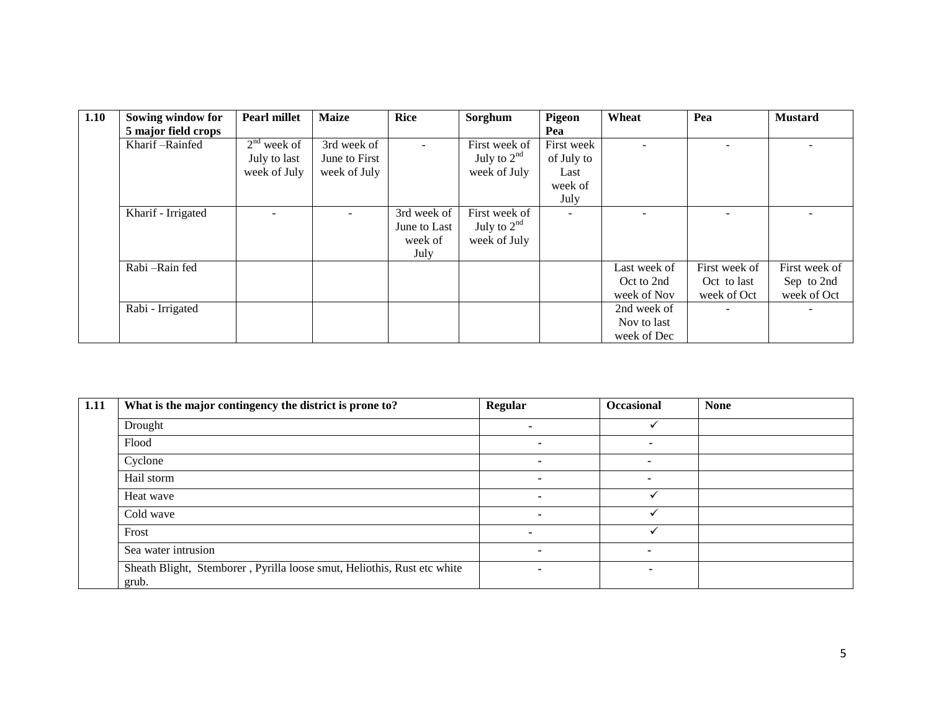| 1.10 | Sowing window for   | <b>Pearl millet</b> | <b>Maize</b>  | <b>Rice</b>  | Sorghum       | Pigeon     | Wheat        | Pea           | <b>Mustard</b> |
|------|---------------------|---------------------|---------------|--------------|---------------|------------|--------------|---------------|----------------|
|      | 5 major field crops |                     |               |              |               | Pea        |              |               |                |
|      | Kharif-Rainfed      | $2nd$ week of       | 3rd week of   |              | First week of | First week |              |               |                |
|      |                     | July to last        | June to First |              | July to $2nd$ | of July to |              |               |                |
|      |                     | week of July        | week of July  |              | week of July  | Last       |              |               |                |
|      |                     |                     |               |              |               | week of    |              |               |                |
|      |                     |                     |               |              |               | July       |              |               |                |
|      | Kharif - Irrigated  |                     |               | 3rd week of  | First week of |            |              |               |                |
|      |                     |                     |               | June to Last | July to $2nd$ |            |              |               |                |
|      |                     |                     |               | week of      | week of July  |            |              |               |                |
|      |                     |                     |               | July         |               |            |              |               |                |
|      | Rabi-Rain fed       |                     |               |              |               |            | Last week of | First week of | First week of  |
|      |                     |                     |               |              |               |            | Oct to 2nd   | Oct to last   | Sep to 2nd     |
|      |                     |                     |               |              |               |            | week of Nov  | week of Oct   | week of Oct    |
|      | Rabi - Irrigated    |                     |               |              |               |            | 2nd week of  |               |                |
|      |                     |                     |               |              |               |            | Nov to last  |               |                |
|      |                     |                     |               |              |               |            | week of Dec  |               |                |

| 1.11 | What is the major contingency the district is prone to?                          | <b>Regular</b>           | Occasional               | <b>None</b> |
|------|----------------------------------------------------------------------------------|--------------------------|--------------------------|-------------|
|      | Drought                                                                          |                          |                          |             |
|      | Flood                                                                            |                          | $\overline{\phantom{0}}$ |             |
|      | Cyclone                                                                          | $\overline{\phantom{a}}$ |                          |             |
|      | Hail storm                                                                       | $\overline{\phantom{a}}$ |                          |             |
|      | Heat wave                                                                        |                          |                          |             |
|      | Cold wave                                                                        |                          |                          |             |
|      | Frost                                                                            |                          |                          |             |
|      | Sea water intrusion                                                              | $\overline{\phantom{0}}$ | ۰                        |             |
|      | Sheath Blight, Stemborer, Pyrilla loose smut, Heliothis, Rust etc white<br>grub. |                          | $\overline{\phantom{a}}$ |             |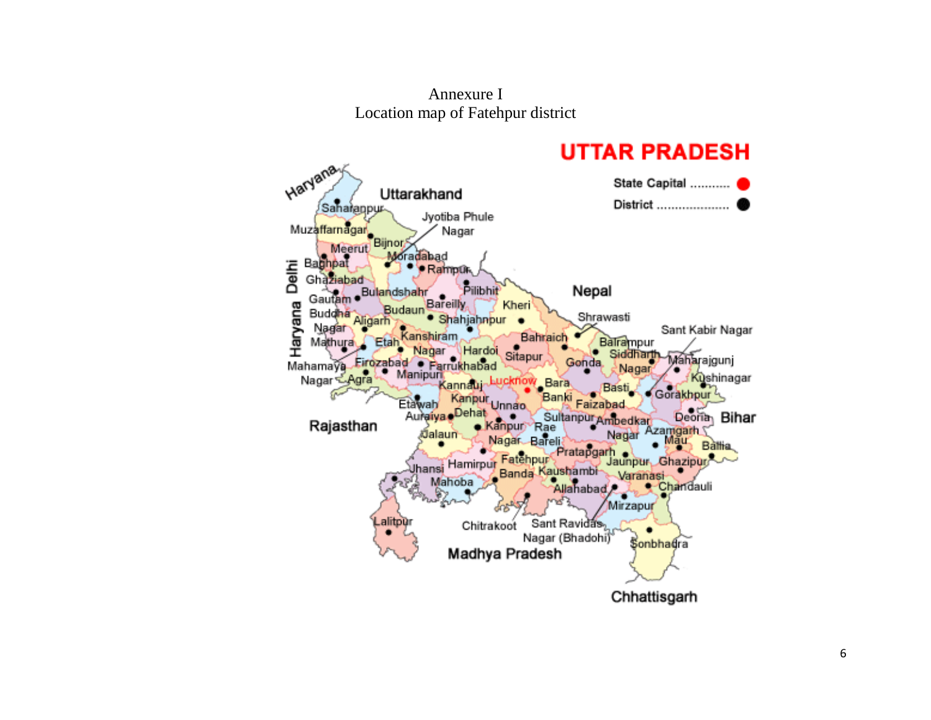Annexure I Location map of Fatehpur district

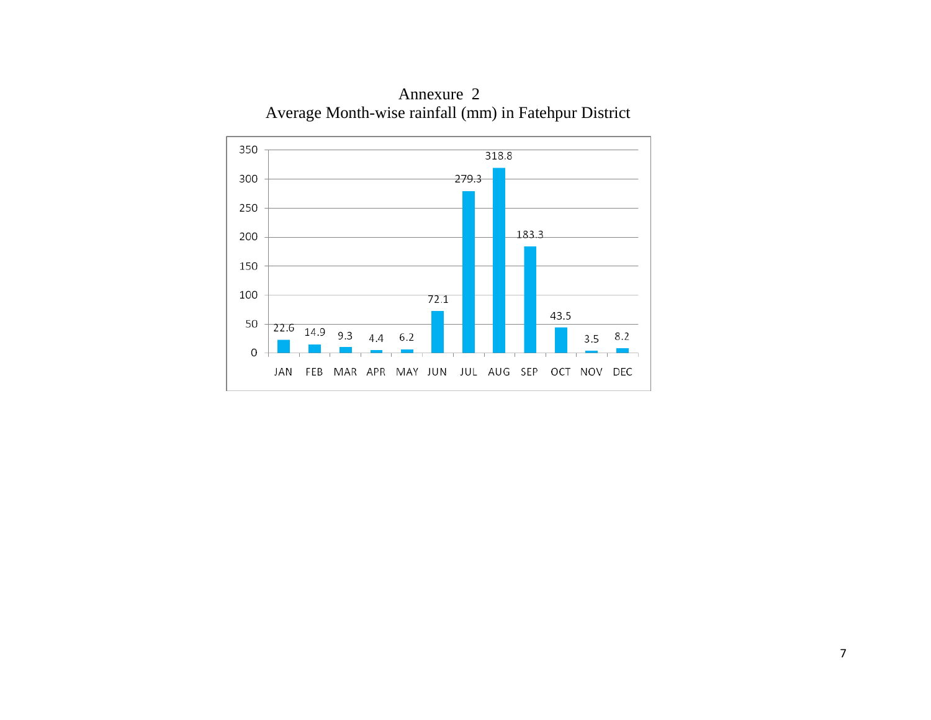

Annexure 2 Average Month-wise rainfall (mm) in Fatehpur District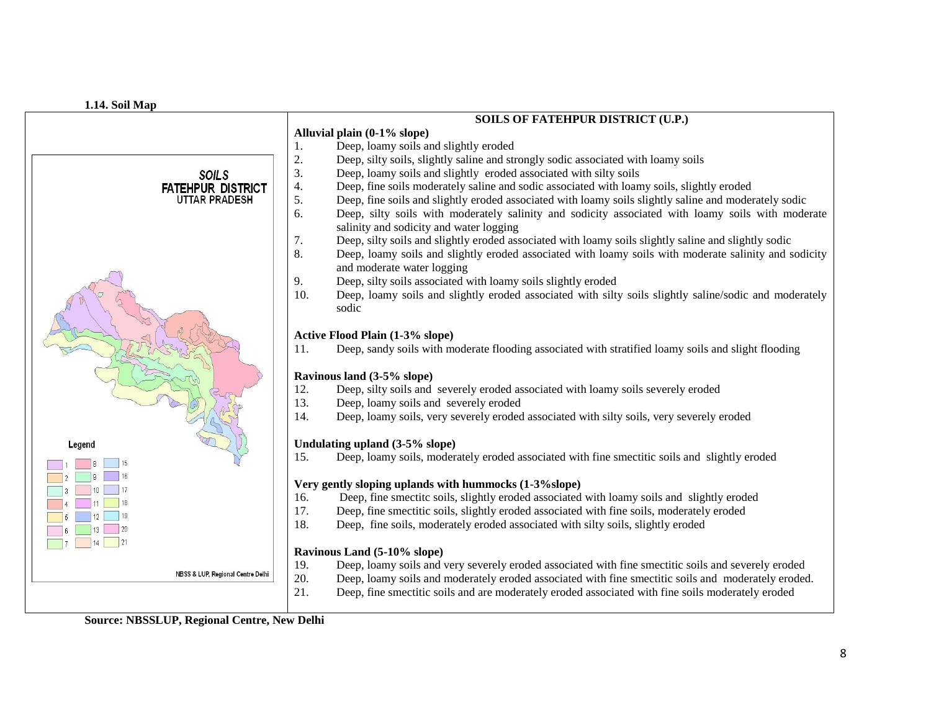| 1.14. Soil Map                    |                                                                                                               |
|-----------------------------------|---------------------------------------------------------------------------------------------------------------|
|                                   | SOILS OF FATEHPUR DISTRICT (U.P.)                                                                             |
|                                   | Alluvial plain (0-1% slope)                                                                                   |
|                                   | Deep, loamy soils and slightly eroded<br>1.                                                                   |
|                                   | 2.<br>Deep, silty soils, slightly saline and strongly sodic associated with loamy soils                       |
| <b>SOILS</b>                      | 3.<br>Deep, loamy soils and slightly eroded associated with silty soils                                       |
| <b>FATEHPUR DISTRICT</b>          | 4.<br>Deep, fine soils moderately saline and sodic associated with loamy soils, slightly eroded               |
| <b>UTTAR PRADESH</b>              | Deep, fine soils and slightly eroded associated with loamy soils slightly saline and moderately sodic<br>5.   |
|                                   | Deep, silty soils with moderately salinity and sodicity associated with loamy soils with moderate<br>6.       |
|                                   | salinity and sodicity and water logging                                                                       |
|                                   | 7.<br>Deep, silty soils and slightly eroded associated with loamy soils slightly saline and slightly sodic    |
|                                   | 8.<br>Deep, loamy soils and slightly eroded associated with loamy soils with moderate salinity and sodicity   |
|                                   | and moderate water logging                                                                                    |
|                                   | 9.<br>Deep, silty soils associated with loamy soils slightly eroded                                           |
|                                   | Deep, loamy soils and slightly eroded associated with silty soils slightly saline/sodic and moderately<br>10. |
|                                   | sodic                                                                                                         |
|                                   |                                                                                                               |
|                                   | <b>Active Flood Plain (1-3% slope)</b>                                                                        |
|                                   | Deep, sandy soils with moderate flooding associated with stratified loamy soils and slight flooding<br>11.    |
|                                   |                                                                                                               |
|                                   | Ravinous land (3-5% slope)                                                                                    |
|                                   | Deep, silty soils and severely eroded associated with loamy soils severely eroded<br>12.                      |
|                                   | Deep, loamy soils and severely eroded<br>13.                                                                  |
|                                   | Deep, loamy soils, very severely eroded associated with silty soils, very severely eroded<br>14.              |
|                                   |                                                                                                               |
| Legend                            | Undulating upland (3-5% slope)                                                                                |
|                                   | Deep, loamy soils, moderately eroded associated with fine smectitic soils and slightly eroded<br>15.          |
|                                   |                                                                                                               |
|                                   | Very gently sloping uplands with hummocks (1-3% slope)                                                        |
| 18                                | Deep, fine smectitc soils, slightly eroded associated with loamy soils and slightly eroded<br>16.             |
| 19                                | Deep, fine smectitic soils, slightly eroded associated with fine soils, moderately eroded<br>17.              |
| 20<br>13 <sup>°</sup>             | 18.<br>Deep, fine soils, moderately eroded associated with silty soils, slightly eroded                       |
| 14<br>$\frac{1}{21}$              |                                                                                                               |
|                                   | Ravinous Land (5-10% slope)                                                                                   |
| NBSS & LUP, Regional Centre Delhi | 19.<br>Deep, loamy soils and very severely eroded associated with fine smectitic soils and severely eroded    |
|                                   | 20.<br>Deep, loamy soils and moderately eroded associated with fine smectitic soils and moderately eroded.    |
|                                   | 21.<br>Deep, fine smectitic soils and are moderately eroded associated with fine soils moderately eroded      |
|                                   |                                                                                                               |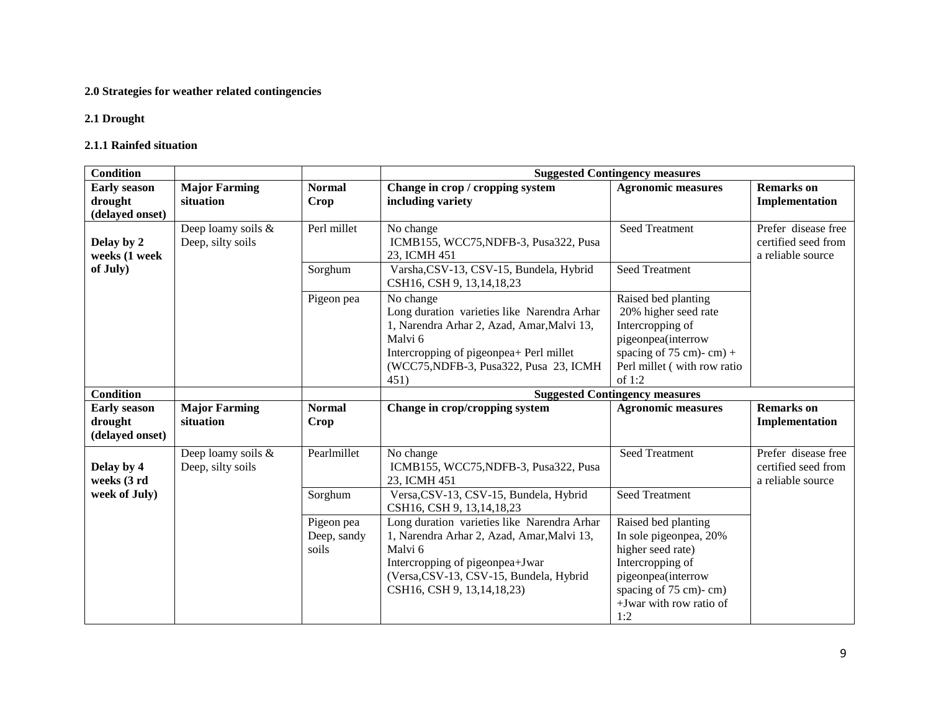#### **2.0 Strategies for weather related contingencies**

#### **2.1 Drought**

#### **2.1.1 Rainfed situation**

| <b>Condition</b>                                  |                                         |                                    | <b>Suggested Contingency measures</b>                                                                                                                                                                               |                                                                                                                                                                         |                                                                 |  |
|---------------------------------------------------|-----------------------------------------|------------------------------------|---------------------------------------------------------------------------------------------------------------------------------------------------------------------------------------------------------------------|-------------------------------------------------------------------------------------------------------------------------------------------------------------------------|-----------------------------------------------------------------|--|
| <b>Early season</b><br>drought<br>(delayed onset) | <b>Major Farming</b><br>situation       | <b>Normal</b><br>Crop              | Change in crop / cropping system<br>including variety                                                                                                                                                               | <b>Agronomic measures</b>                                                                                                                                               | <b>Remarks</b> on<br>Implementation                             |  |
| Delay by 2<br>weeks (1 week                       | Deep loamy soils &<br>Deep, silty soils | Perl millet                        | No change<br>ICMB155, WCC75, NDFB-3, Pusa322, Pusa<br>23, ICMH 451                                                                                                                                                  | <b>Seed Treatment</b>                                                                                                                                                   | Prefer disease free<br>certified seed from<br>a reliable source |  |
| of July)                                          |                                         | Sorghum                            | Varsha, CSV-13, CSV-15, Bundela, Hybrid<br>CSH16, CSH 9, 13, 14, 18, 23                                                                                                                                             | <b>Seed Treatment</b>                                                                                                                                                   |                                                                 |  |
|                                                   |                                         | Pigeon pea                         | No change<br>Long duration varieties like Narendra Arhar<br>1, Narendra Arhar 2, Azad, Amar, Malvi 13,<br>Malvi 6<br>Intercropping of pigeonpea+ Perl millet<br>(WCC75, NDFB-3, Pusa 322, Pusa 23, ICMH<br>451)     | Raised bed planting<br>20% higher seed rate<br>Intercropping of<br>pigeonpea(interrow<br>spacing of 75 cm)- cm) +<br>Perl millet (with row ratio<br>of $1:2$            |                                                                 |  |
| <b>Condition</b>                                  |                                         |                                    |                                                                                                                                                                                                                     | <b>Suggested Contingency measures</b>                                                                                                                                   |                                                                 |  |
| <b>Early season</b><br>drought<br>(delayed onset) | <b>Major Farming</b><br>situation       | <b>Normal</b><br>Crop              | Change in crop/cropping system                                                                                                                                                                                      | <b>Agronomic measures</b>                                                                                                                                               | <b>Remarks</b> on<br>Implementation                             |  |
| Delay by 4<br>weeks (3 rd                         | Deep loamy soils &<br>Deep, silty soils | Pearlmillet                        | No change<br>ICMB155, WCC75, NDFB-3, Pusa322, Pusa<br>23, ICMH 451                                                                                                                                                  | <b>Seed Treatment</b>                                                                                                                                                   | Prefer disease free<br>certified seed from<br>a reliable source |  |
| week of July)                                     |                                         | Sorghum                            | Versa, CSV-13, CSV-15, Bundela, Hybrid<br>CSH16, CSH 9, 13, 14, 18, 23                                                                                                                                              | <b>Seed Treatment</b>                                                                                                                                                   |                                                                 |  |
|                                                   |                                         | Pigeon pea<br>Deep, sandy<br>soils | Long duration varieties like Narendra Arhar<br>1, Narendra Arhar 2, Azad, Amar, Malvi 13,<br>Malvi 6<br>Intercropping of pigeonpea+Jwar<br>(Versa, CSV-13, CSV-15, Bundela, Hybrid<br>CSH16, CSH 9, 13, 14, 18, 23) | Raised bed planting<br>In sole pigeonpea, 20%<br>higher seed rate)<br>Intercropping of<br>pigeonpea(interrow<br>spacing of 75 cm)-cm)<br>+Jwar with row ratio of<br>1:2 |                                                                 |  |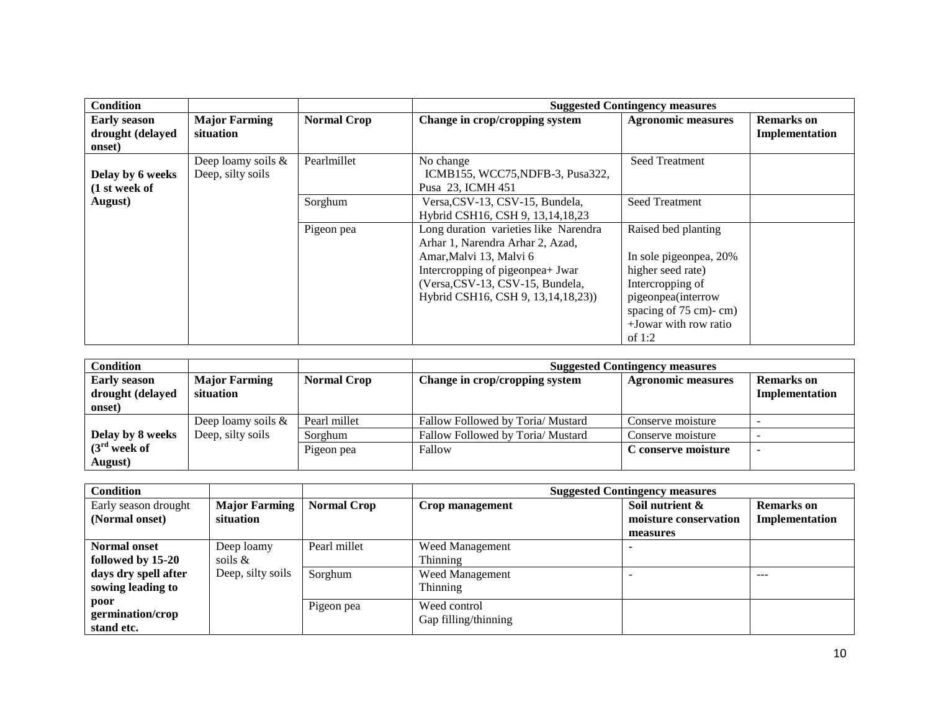| <b>Condition</b>                                  |                                         |                    |                                                                                                                                                                                                                      | <b>Suggested Contingency measures</b>                                                                                                                                    |                                     |
|---------------------------------------------------|-----------------------------------------|--------------------|----------------------------------------------------------------------------------------------------------------------------------------------------------------------------------------------------------------------|--------------------------------------------------------------------------------------------------------------------------------------------------------------------------|-------------------------------------|
| <b>Early season</b><br>drought (delayed<br>onset) | <b>Major Farming</b><br>situation       | <b>Normal Crop</b> | Change in crop/cropping system                                                                                                                                                                                       | <b>Agronomic measures</b>                                                                                                                                                | <b>Remarks</b> on<br>Implementation |
| Delay by 6 weeks<br>(1 st week of                 | Deep loamy soils &<br>Deep, silty soils | Pearlmillet        | No change<br>ICMB155, WCC75, NDFB-3, Pusa322,<br>Pusa 23, ICMH 451                                                                                                                                                   | <b>Seed Treatment</b>                                                                                                                                                    |                                     |
| August)                                           |                                         | Sorghum            | Versa, CSV-13, CSV-15, Bundela,<br>Hybrid CSH16, CSH 9, 13, 14, 18, 23                                                                                                                                               | <b>Seed Treatment</b>                                                                                                                                                    |                                     |
|                                                   |                                         | Pigeon pea         | Long duration varieties like Narendra<br>Arhar 1, Narendra Arhar 2, Azad,<br>Amar, Malvi 13, Malvi 6<br>Intercropping of pigeonpea+ Jwar<br>(Versa, CSV-13, CSV-15, Bundela,<br>Hybrid CSH16, CSH 9, 13, 14, 18, 23) | Raised bed planting<br>In sole pigeonpea, 20%<br>higher seed rate)<br>Intercropping of<br>pigeonpea(interrow<br>spacing of 75 cm)-cm)<br>+Jowar with row ratio<br>of 1:2 |                                     |

| <b>Condition</b>    |                       |                    | <b>Suggested Contingency measures</b> |                           |                          |
|---------------------|-----------------------|--------------------|---------------------------------------|---------------------------|--------------------------|
| <b>Early season</b> | <b>Major Farming</b>  | <b>Normal Crop</b> | Change in crop/cropping system        | <b>Agronomic measures</b> | <b>Remarks</b> on        |
| drought (delayed    | situation             |                    |                                       |                           | Implementation           |
| onset)              |                       |                    |                                       |                           |                          |
|                     | Deep loamy soils $\&$ | Pearl millet       | Fallow Followed by Toria/Mustard      | Conserve moisture         | -                        |
| Delay by 8 weeks    | Deep, silty soils     | Sorghum            | Fallow Followed by Toria/Mustard      | Conserve moisture         | $\overline{\phantom{a}}$ |
| $(3rd$ week of      |                       | Pigeon pea         | Fallow                                | C conserve moisture       | $\overline{\phantom{0}}$ |
| August)             |                       |                    |                                       |                           |                          |

| <b>Condition</b>                       |                      |                    | <b>Suggested Contingency measures</b> |                       |                   |
|----------------------------------------|----------------------|--------------------|---------------------------------------|-----------------------|-------------------|
| Early season drought                   | <b>Major Farming</b> | <b>Normal Crop</b> | Crop management                       | Soil nutrient &       | <b>Remarks</b> on |
| (Normal onset)                         | situation            |                    |                                       | moisture conservation | Implementation    |
|                                        |                      |                    |                                       | measures              |                   |
| <b>Normal onset</b>                    | Deep loamy           | Pearl millet       | Weed Management                       |                       |                   |
| followed by 15-20                      | soils &              |                    | <b>Thinning</b>                       |                       |                   |
| days dry spell after                   | Deep, silty soils    | Sorghum            | Weed Management                       |                       | ---               |
| sowing leading to                      |                      |                    | <b>Thinning</b>                       |                       |                   |
| poor<br>germination/crop<br>stand etc. |                      | Pigeon pea         | Weed control<br>Gap filling/thinning  |                       |                   |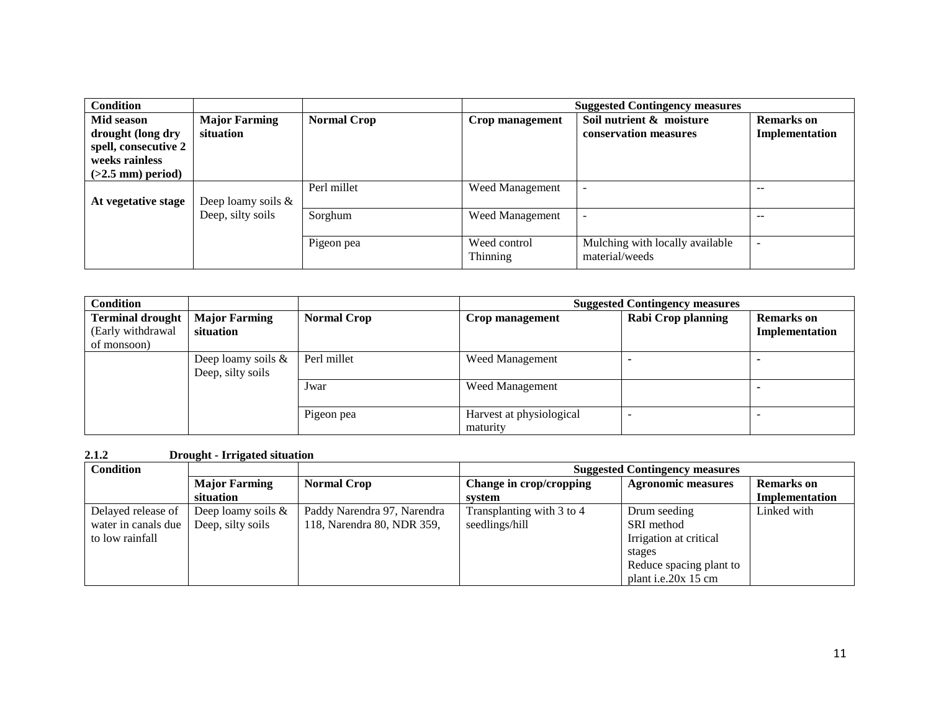| <b>Condition</b>                                                                                 |                                   |                    | <b>Suggested Contingency measures</b> |                                                   |                                     |  |
|--------------------------------------------------------------------------------------------------|-----------------------------------|--------------------|---------------------------------------|---------------------------------------------------|-------------------------------------|--|
| Mid season<br>drought (long dry<br>spell, consecutive 2<br>weeks rainless<br>$(>2.5$ mm) period) | <b>Major Farming</b><br>situation | <b>Normal Crop</b> | Crop management                       | Soil nutrient & moisture<br>conservation measures | <b>Remarks</b> on<br>Implementation |  |
| At vegetative stage                                                                              | Deep loamy soils $\&$             | Perl millet        | Weed Management                       | $\overline{\phantom{a}}$                          | $- -$                               |  |
|                                                                                                  | Deep, silty soils                 | Sorghum            | Weed Management                       | $\overline{\phantom{a}}$                          | $- -$                               |  |
|                                                                                                  |                                   | Pigeon pea         | Weed control<br>Thinning              | Mulching with locally available<br>material/weeds | -                                   |  |

| <b>Condition</b>                                            |                                            |                    | <b>Suggested Contingency measures</b> |                           |                                     |
|-------------------------------------------------------------|--------------------------------------------|--------------------|---------------------------------------|---------------------------|-------------------------------------|
| <b>Terminal drought</b><br>(Early withdrawal<br>of monsoon) | <b>Major Farming</b><br>situation          | <b>Normal Crop</b> | Crop management                       | <b>Rabi Crop planning</b> | <b>Remarks</b> on<br>Implementation |
|                                                             | Deep loamy soils $\&$<br>Deep, silty soils | Perl millet        | <b>Weed Management</b>                |                           |                                     |
|                                                             |                                            | Jwar               | Weed Management                       |                           |                                     |
|                                                             |                                            | Pigeon pea         | Harvest at physiological<br>maturity  |                           | -                                   |

#### **2.1.2 Drought - Irrigated situation**

| <b>Condition</b>    |                       |                             | <b>Suggested Contingency measures</b> |                           |                   |  |
|---------------------|-----------------------|-----------------------------|---------------------------------------|---------------------------|-------------------|--|
|                     | <b>Major Farming</b>  | <b>Normal Crop</b>          | Change in crop/cropping               | <b>Agronomic measures</b> | <b>Remarks</b> on |  |
|                     | situation             |                             | system                                |                           | Implementation    |  |
| Delayed release of  | Deep loamy soils $\&$ | Paddy Narendra 97, Narendra | Transplanting with 3 to 4             | Drum seeding              | Linked with       |  |
| water in canals due | Deep, silty soils     | 118, Narendra 80, NDR 359,  | seedlings/hill                        | SRI method                |                   |  |
| to low rainfall     |                       |                             |                                       | Irrigation at critical    |                   |  |
|                     |                       |                             |                                       | stages                    |                   |  |
|                     |                       |                             |                                       | Reduce spacing plant to   |                   |  |
|                     |                       |                             |                                       | plant i.e.20x 15 cm       |                   |  |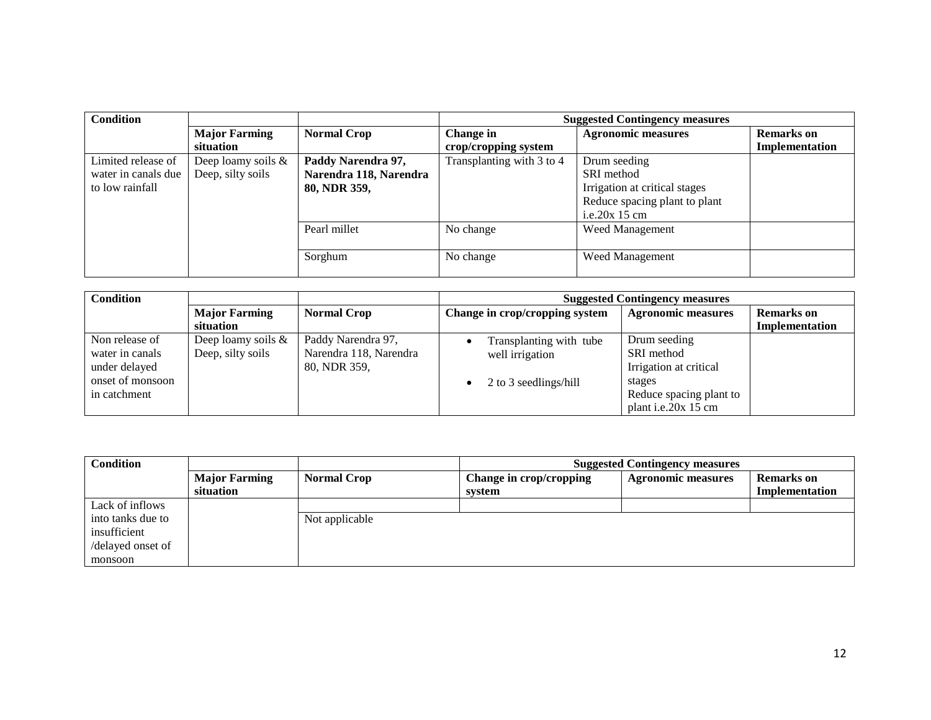| <b>Condition</b>    |                      |                        | <b>Suggested Contingency measures</b> |                               |                   |
|---------------------|----------------------|------------------------|---------------------------------------|-------------------------------|-------------------|
|                     | <b>Major Farming</b> | <b>Normal Crop</b>     | Change in                             | <b>Agronomic measures</b>     | <b>Remarks</b> on |
|                     | situation            |                        | crop/cropping system                  |                               | Implementation    |
| Limited release of  | Deep loamy soils &   | Paddy Narendra 97,     | Transplanting with 3 to 4             | Drum seeding                  |                   |
| water in canals due | Deep, silty soils    | Narendra 118, Narendra |                                       | SRI method                    |                   |
| to low rainfall     |                      | 80, NDR 359,           |                                       | Irrigation at critical stages |                   |
|                     |                      |                        |                                       | Reduce spacing plant to plant |                   |
|                     |                      |                        |                                       | i.e.20 $x$ 15 cm              |                   |
|                     |                      | Pearl millet           | No change                             | Weed Management               |                   |
|                     |                      |                        |                                       |                               |                   |
|                     |                      | Sorghum                | No change                             | Weed Management               |                   |
|                     |                      |                        |                                       |                               |                   |

| <b>Condition</b> |                       |                        | <b>Suggested Contingency measures</b> |                           |                   |
|------------------|-----------------------|------------------------|---------------------------------------|---------------------------|-------------------|
|                  | <b>Major Farming</b>  | <b>Normal Crop</b>     | Change in crop/cropping system        | <b>Agronomic measures</b> | <b>Remarks</b> on |
|                  | situation             |                        |                                       |                           | Implementation    |
| Non release of   | Deep loamy soils $\&$ | Paddy Narendra 97,     | Transplanting with tube               | Drum seeding              |                   |
| water in canals  | Deep, silty soils     | Narendra 118, Narendra | well irrigation                       | SRI method                |                   |
| under delayed    |                       | 80, NDR 359,           |                                       | Irrigation at critical    |                   |
| onset of monsoon |                       |                        | 2 to 3 seedlings/hill                 | stages                    |                   |
| in catchment     |                       |                        |                                       | Reduce spacing plant to   |                   |
|                  |                       |                        |                                       | plant i.e.20 $x$ 15 cm    |                   |

| <b>Condition</b>  |                                   |                    | <b>Suggested Contingency measures</b> |                           |                                     |
|-------------------|-----------------------------------|--------------------|---------------------------------------|---------------------------|-------------------------------------|
|                   | <b>Major Farming</b><br>situation | <b>Normal Crop</b> | Change in crop/cropping<br>system     | <b>Agronomic measures</b> | <b>Remarks</b> on<br>Implementation |
| Lack of inflows   |                                   |                    |                                       |                           |                                     |
| into tanks due to |                                   | Not applicable     |                                       |                           |                                     |
| insufficient      |                                   |                    |                                       |                           |                                     |
| /delayed onset of |                                   |                    |                                       |                           |                                     |
| monsoon           |                                   |                    |                                       |                           |                                     |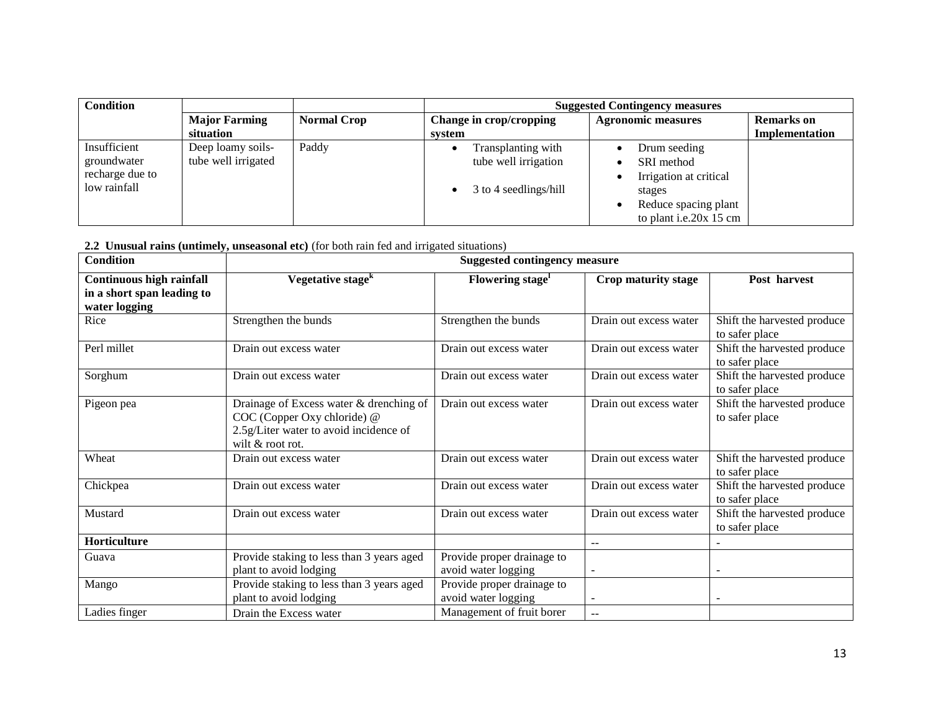| <b>Condition</b>                                               |                                          |                    | <b>Suggested Contingency measures</b>                               |                                                                                                                  |                   |  |
|----------------------------------------------------------------|------------------------------------------|--------------------|---------------------------------------------------------------------|------------------------------------------------------------------------------------------------------------------|-------------------|--|
|                                                                | <b>Major Farming</b>                     | <b>Normal Crop</b> | Change in crop/cropping                                             | <b>Agronomic measures</b>                                                                                        | <b>Remarks</b> on |  |
|                                                                | situation                                |                    | system                                                              |                                                                                                                  | Implementation    |  |
| Insufficient<br>groundwater<br>recharge due to<br>low rainfall | Deep loamy soils-<br>tube well irrigated | Paddy              | Transplanting with<br>tube well irrigation<br>3 to 4 seedlings/hill | Drum seeding<br>SRI method<br>Irrigation at critical<br>stages<br>Reduce spacing plant<br>to plant i.e.20x 15 cm |                   |  |

**2.2 Unusual rains (untimely, unseasonal etc)** (for both rain fed and irrigated situations)

| <b>Condition</b>                                                               | <b>Suggested contingency measure</b>                                                                                                 |                                                   |                          |                                               |  |  |  |
|--------------------------------------------------------------------------------|--------------------------------------------------------------------------------------------------------------------------------------|---------------------------------------------------|--------------------------|-----------------------------------------------|--|--|--|
| <b>Continuous high rainfall</b><br>in a short span leading to<br>water logging | Vegetative stage <sup>k</sup>                                                                                                        | Flowering stage <sup>1</sup>                      | Crop maturity stage      | Post harvest                                  |  |  |  |
| Rice                                                                           | Strengthen the bunds                                                                                                                 | Strengthen the bunds                              | Drain out excess water   | Shift the harvested produce<br>to safer place |  |  |  |
| Perl millet                                                                    | Drain out excess water                                                                                                               | Drain out excess water                            | Drain out excess water   | Shift the harvested produce<br>to safer place |  |  |  |
| Sorghum                                                                        | Drain out excess water                                                                                                               | Drain out excess water                            | Drain out excess water   | Shift the harvested produce<br>to safer place |  |  |  |
| Pigeon pea                                                                     | Drainage of Excess water & drenching of<br>COC (Copper Oxy chloride) @<br>2.5g/Liter water to avoid incidence of<br>wilt & root rot. | Drain out excess water                            | Drain out excess water   | Shift the harvested produce<br>to safer place |  |  |  |
| Wheat                                                                          | Drain out excess water                                                                                                               | Drain out excess water                            | Drain out excess water   | Shift the harvested produce<br>to safer place |  |  |  |
| Chickpea                                                                       | Drain out excess water                                                                                                               | Drain out excess water                            | Drain out excess water   | Shift the harvested produce<br>to safer place |  |  |  |
| Mustard                                                                        | Drain out excess water                                                                                                               | Drain out excess water                            | Drain out excess water   | Shift the harvested produce<br>to safer place |  |  |  |
| Horticulture                                                                   |                                                                                                                                      |                                                   | $\overline{\phantom{m}}$ |                                               |  |  |  |
| Guava                                                                          | Provide staking to less than 3 years aged<br>plant to avoid lodging                                                                  | Provide proper drainage to<br>avoid water logging |                          |                                               |  |  |  |
| Mango                                                                          | Provide staking to less than 3 years aged<br>plant to avoid lodging                                                                  | Provide proper drainage to<br>avoid water logging |                          |                                               |  |  |  |
| Ladies finger                                                                  | Drain the Excess water                                                                                                               | Management of fruit borer                         | $-$                      |                                               |  |  |  |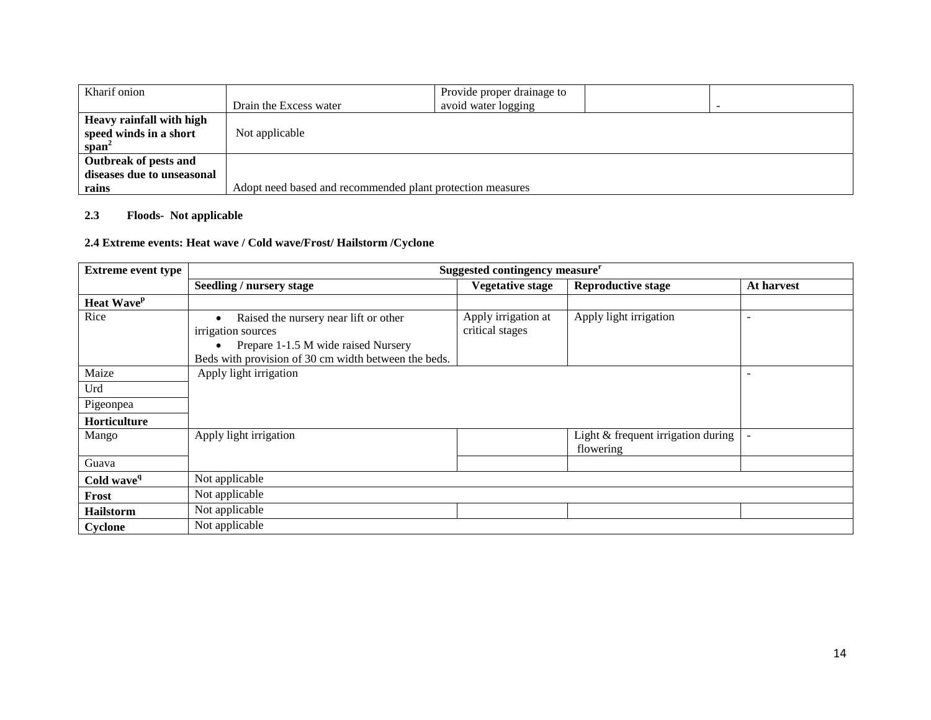| Kharif onion                    |                                                            | Provide proper drainage to |  |
|---------------------------------|------------------------------------------------------------|----------------------------|--|
|                                 | Drain the Excess water                                     | avoid water logging        |  |
| <b>Heavy rainfall with high</b> |                                                            |                            |  |
| speed winds in a short          | Not applicable                                             |                            |  |
| $span^2$                        |                                                            |                            |  |
| Outbreak of pests and           |                                                            |                            |  |
| diseases due to unseasonal      |                                                            |                            |  |
| rains                           | Adopt need based and recommended plant protection measures |                            |  |

#### **2.3 Floods- Not applicable**

## **2.4 Extreme events: Heat wave / Cold wave/Frost/ Hailstorm /Cyclone**

| <b>Extreme event type</b>     | Suggested contingency measure <sup>r</sup>           |                         |                                    |            |
|-------------------------------|------------------------------------------------------|-------------------------|------------------------------------|------------|
|                               | Seedling / nursery stage                             | <b>Vegetative stage</b> | <b>Reproductive stage</b>          | At harvest |
| <b>Heat Wave</b> <sup>p</sup> |                                                      |                         |                                    |            |
| Rice                          | Raised the nursery near lift or other<br>$\bullet$   | Apply irrigation at     | Apply light irrigation             |            |
|                               | irrigation sources                                   | critical stages         |                                    |            |
|                               | Prepare 1-1.5 M wide raised Nursery                  |                         |                                    |            |
|                               | Beds with provision of 30 cm width between the beds. |                         |                                    |            |
| Maize                         | Apply light irrigation                               |                         |                                    |            |
| Urd                           |                                                      |                         |                                    |            |
| Pigeonpea                     |                                                      |                         |                                    |            |
| Horticulture                  |                                                      |                         |                                    |            |
| Mango                         | Apply light irrigation                               |                         | Light & frequent irrigation during |            |
|                               |                                                      |                         | flowering                          |            |
| Guava                         |                                                      |                         |                                    |            |
| Cold wave <sup>q</sup>        | Not applicable                                       |                         |                                    |            |
| Frost                         | Not applicable                                       |                         |                                    |            |
| <b>Hailstorm</b>              | Not applicable                                       |                         |                                    |            |
| Cyclone                       | Not applicable                                       |                         |                                    |            |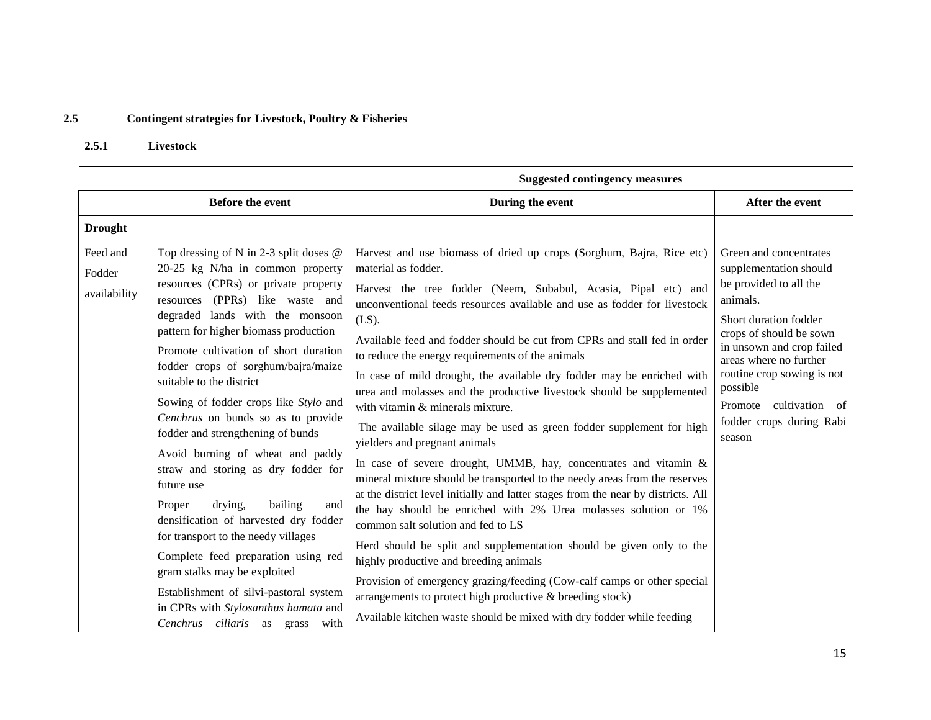## **2.5 Contingent strategies for Livestock, Poultry & Fisheries**

#### **2.5.1 Livestock**

|                                    |                                                                                                                                                                                                                                                                                                                                                                                                                                                                                                                                                                                                                                                                                                                                                                                                                                                                                 | <b>Suggested contingency measures</b>                                                                                                                                                                                                                                                                                                                                                                                                                                                                                                                                                                                                                                                                                                                                                                                                                                                                                                                                                                                                                                                                                                                                                                                                                                                                                                                                       |                                                                                                                                                                                                                                                                                                             |
|------------------------------------|---------------------------------------------------------------------------------------------------------------------------------------------------------------------------------------------------------------------------------------------------------------------------------------------------------------------------------------------------------------------------------------------------------------------------------------------------------------------------------------------------------------------------------------------------------------------------------------------------------------------------------------------------------------------------------------------------------------------------------------------------------------------------------------------------------------------------------------------------------------------------------|-----------------------------------------------------------------------------------------------------------------------------------------------------------------------------------------------------------------------------------------------------------------------------------------------------------------------------------------------------------------------------------------------------------------------------------------------------------------------------------------------------------------------------------------------------------------------------------------------------------------------------------------------------------------------------------------------------------------------------------------------------------------------------------------------------------------------------------------------------------------------------------------------------------------------------------------------------------------------------------------------------------------------------------------------------------------------------------------------------------------------------------------------------------------------------------------------------------------------------------------------------------------------------------------------------------------------------------------------------------------------------|-------------------------------------------------------------------------------------------------------------------------------------------------------------------------------------------------------------------------------------------------------------------------------------------------------------|
|                                    | <b>Before the event</b>                                                                                                                                                                                                                                                                                                                                                                                                                                                                                                                                                                                                                                                                                                                                                                                                                                                         | During the event                                                                                                                                                                                                                                                                                                                                                                                                                                                                                                                                                                                                                                                                                                                                                                                                                                                                                                                                                                                                                                                                                                                                                                                                                                                                                                                                                            | After the event                                                                                                                                                                                                                                                                                             |
| <b>Drought</b>                     |                                                                                                                                                                                                                                                                                                                                                                                                                                                                                                                                                                                                                                                                                                                                                                                                                                                                                 |                                                                                                                                                                                                                                                                                                                                                                                                                                                                                                                                                                                                                                                                                                                                                                                                                                                                                                                                                                                                                                                                                                                                                                                                                                                                                                                                                                             |                                                                                                                                                                                                                                                                                                             |
| Feed and<br>Fodder<br>availability | Top dressing of N in 2-3 split doses $@$<br>20-25 kg N/ha in common property<br>resources (CPRs) or private property<br>resources (PPRs) like waste and<br>degraded lands with the monsoon<br>pattern for higher biomass production<br>Promote cultivation of short duration<br>fodder crops of sorghum/bajra/maize<br>suitable to the district<br>Sowing of fodder crops like Stylo and<br>Cenchrus on bunds so as to provide<br>fodder and strengthening of bunds<br>Avoid burning of wheat and paddy<br>straw and storing as dry fodder for<br>future use<br>drying,<br>bailing<br>Proper<br>and<br>densification of harvested dry fodder<br>for transport to the needy villages<br>Complete feed preparation using red<br>gram stalks may be exploited<br>Establishment of silvi-pastoral system<br>in CPRs with Stylosanthus hamata and<br>Cenchrus ciliaris as grass with | Harvest and use biomass of dried up crops (Sorghum, Bajra, Rice etc)<br>material as fodder.<br>Harvest the tree fodder (Neem, Subabul, Acasia, Pipal etc) and<br>unconventional feeds resources available and use as fodder for livestock<br>$(LS)$ .<br>Available feed and fodder should be cut from CPRs and stall fed in order<br>to reduce the energy requirements of the animals<br>In case of mild drought, the available dry fodder may be enriched with<br>urea and molasses and the productive livestock should be supplemented<br>with vitamin & minerals mixture.<br>The available silage may be used as green fodder supplement for high<br>yielders and pregnant animals<br>In case of severe drought, UMMB, hay, concentrates and vitamin $\&$<br>mineral mixture should be transported to the needy areas from the reserves<br>at the district level initially and latter stages from the near by districts. All<br>the hay should be enriched with 2% Urea molasses solution or 1%<br>common salt solution and fed to LS<br>Herd should be split and supplementation should be given only to the<br>highly productive and breeding animals<br>Provision of emergency grazing/feeding (Cow-calf camps or other special<br>arrangements to protect high productive & breeding stock)<br>Available kitchen waste should be mixed with dry fodder while feeding | Green and concentrates<br>supplementation should<br>be provided to all the<br>animals.<br>Short duration fodder<br>crops of should be sown<br>in unsown and crop failed<br>areas where no further<br>routine crop sowing is not<br>possible<br>Promote cultivation of<br>fodder crops during Rabi<br>season |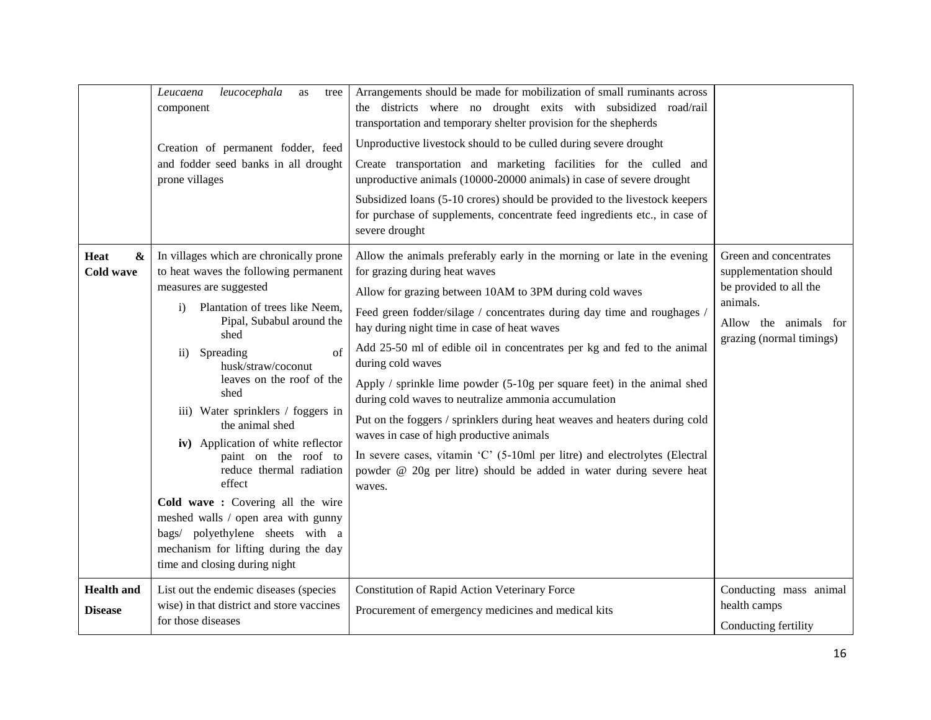|                                     | leucocephala<br>Leucaena<br>as<br>tree<br>component<br>Creation of permanent fodder, feed<br>and fodder seed banks in all drought<br>prone villages                                                                                                                                                                                                                                                                                                                                                                                                                                                                                               | Arrangements should be made for mobilization of small ruminants across<br>the districts where no drought exits with subsidized road/rail<br>transportation and temporary shelter provision for the shepherds<br>Unproductive livestock should to be culled during severe drought<br>Create transportation and marketing facilities for the culled and<br>unproductive animals (10000-20000 animals) in case of severe drought<br>Subsidized loans (5-10 crores) should be provided to the livestock keepers<br>for purchase of supplements, concentrate feed ingredients etc., in case of<br>severe drought                                                                                                                                                                                                                    |                                                                                                                                             |
|-------------------------------------|---------------------------------------------------------------------------------------------------------------------------------------------------------------------------------------------------------------------------------------------------------------------------------------------------------------------------------------------------------------------------------------------------------------------------------------------------------------------------------------------------------------------------------------------------------------------------------------------------------------------------------------------------|--------------------------------------------------------------------------------------------------------------------------------------------------------------------------------------------------------------------------------------------------------------------------------------------------------------------------------------------------------------------------------------------------------------------------------------------------------------------------------------------------------------------------------------------------------------------------------------------------------------------------------------------------------------------------------------------------------------------------------------------------------------------------------------------------------------------------------|---------------------------------------------------------------------------------------------------------------------------------------------|
| Heat<br>&<br>Cold wave              | In villages which are chronically prone<br>to heat waves the following permanent<br>measures are suggested<br>Plantation of trees like Neem,<br>$\mathbf{i}$<br>Pipal, Subabul around the<br>shed<br>of<br>Spreading<br>$\rm ii)$<br>husk/straw/coconut<br>leaves on the roof of the<br>shed<br>iii) Water sprinklers / foggers in<br>the animal shed<br>iv) Application of white reflector<br>paint on the roof to<br>reduce thermal radiation<br>effect<br>Cold wave: Covering all the wire<br>meshed walls / open area with gunny<br>bags/ polyethylene sheets with a<br>mechanism for lifting during the day<br>time and closing during night | Allow the animals preferably early in the morning or late in the evening<br>for grazing during heat waves<br>Allow for grazing between 10AM to 3PM during cold waves<br>Feed green fodder/silage / concentrates during day time and roughages /<br>hay during night time in case of heat waves<br>Add 25-50 ml of edible oil in concentrates per kg and fed to the animal<br>during cold waves<br>Apply / sprinkle lime powder $(5-10)$ g per square feet) in the animal shed<br>during cold waves to neutralize ammonia accumulation<br>Put on the foggers / sprinklers during heat weaves and heaters during cold<br>waves in case of high productive animals<br>In severe cases, vitamin 'C' (5-10ml per litre) and electrolytes (Electral<br>powder @ 20g per litre) should be added in water during severe heat<br>waves. | Green and concentrates<br>supplementation should<br>be provided to all the<br>animals.<br>Allow the animals for<br>grazing (normal timings) |
| <b>Health</b> and<br><b>Disease</b> | List out the endemic diseases (species<br>wise) in that district and store vaccines<br>for those diseases                                                                                                                                                                                                                                                                                                                                                                                                                                                                                                                                         | <b>Constitution of Rapid Action Veterinary Force</b><br>Procurement of emergency medicines and medical kits                                                                                                                                                                                                                                                                                                                                                                                                                                                                                                                                                                                                                                                                                                                    | Conducting mass animal<br>health camps<br>Conducting fertility                                                                              |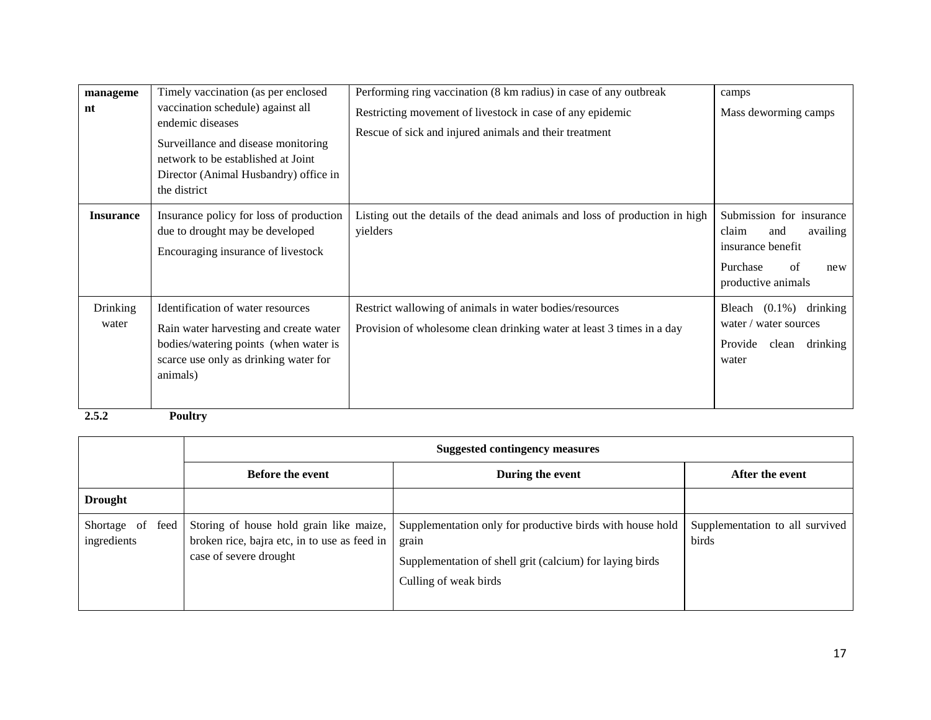| manageme<br>nt           | Timely vaccination (as per enclosed<br>vaccination schedule) against all<br>endemic diseases<br>Surveillance and disease monitoring<br>network to be established at Joint<br>Director (Animal Husbandry) office in<br>the district | Performing ring vaccination (8 km radius) in case of any outbreak<br>Restricting movement of livestock in case of any epidemic<br>Rescue of sick and injured animals and their treatment | camps<br>Mass deworming camps                                                                                            |
|--------------------------|------------------------------------------------------------------------------------------------------------------------------------------------------------------------------------------------------------------------------------|------------------------------------------------------------------------------------------------------------------------------------------------------------------------------------------|--------------------------------------------------------------------------------------------------------------------------|
| <b>Insurance</b>         | Insurance policy for loss of production<br>due to drought may be developed<br>Encouraging insurance of livestock                                                                                                                   | Listing out the details of the dead animals and loss of production in high<br>yielders                                                                                                   | Submission for insurance<br>claim<br>availing<br>and<br>insurance benefit<br>Purchase<br>of<br>new<br>productive animals |
| <b>Drinking</b><br>water | Identification of water resources<br>Rain water harvesting and create water<br>bodies/watering points (when water is<br>scarce use only as drinking water for<br>animals)                                                          | Restrict wallowing of animals in water bodies/resources<br>Provision of wholesome clean drinking water at least 3 times in a day                                                         | drinking<br>Bleach $(0.1\%)$<br>water / water sources<br>Provide<br>drinking<br>clean<br>water                           |

**2.5.2 Poultry** 

|                                    | <b>Suggested contingency measures</b>                                                                             |                                                                                                                                                         |                                          |  |
|------------------------------------|-------------------------------------------------------------------------------------------------------------------|---------------------------------------------------------------------------------------------------------------------------------------------------------|------------------------------------------|--|
|                                    | <b>Before the event</b>                                                                                           | During the event                                                                                                                                        | After the event                          |  |
| <b>Drought</b>                     |                                                                                                                   |                                                                                                                                                         |                                          |  |
| Shortage of<br>feed<br>ingredients | Storing of house hold grain like maize,<br>broken rice, bajra etc, in to use as feed in<br>case of severe drought | Supplementation only for productive birds with house hold<br>grain<br>Supplementation of shell grit (calcium) for laying birds<br>Culling of weak birds | Supplementation to all survived<br>birds |  |